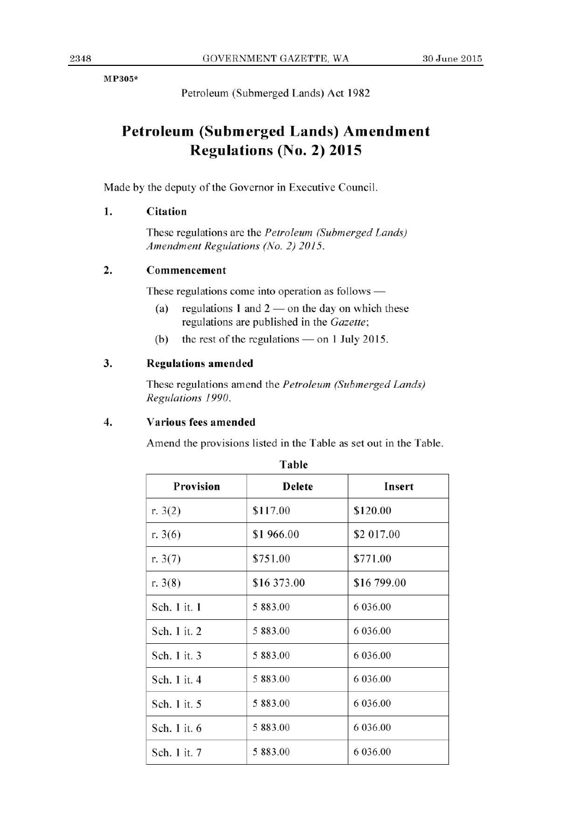**MP305\*** 

Petroleum (Submerged Lands) Act 1982

# **Petroleum (Submerged Lands) Amendment Regulations (No. 2) 2015**

Made by the deputy of the Governor in Executive Council.

### 1. Citation

These regulations are the *Petroleum (Submerged Lands) Amendment Regulations (No. 2) 2015.* 

#### **2. Commencement**

These regulations come into operation as follows —

- (a) regulations  $1$  and  $2$  on the day on which these regulations are published in the *Gazette;*
- (b) the rest of the regulations on **1** July 2015.

#### **3. Regulations amended**

These regulations amend the *Petroleum (Submerged Lands) Regulations 1990.* 

#### **4. Various fees amended**

Amend the provisions listed in the Table as set out in the Table.

| <b>Provision</b> | <b>Delete</b> | Insert       |
|------------------|---------------|--------------|
| r. $3(2)$        | \$117.00      | \$120.00     |
| r. $3(6)$        | \$1966.00     | \$2 017.00   |
| r. $3(7)$        | \$751.00      | \$771.00     |
| r. $3(8)$        | \$16 373.00   | \$16 799.00  |
| Sch. 1 it. 1     | 5 883.00      | 6 0 3 6 .0 0 |
| Sch. 1 it. 2     | 5 883.00      | 6 036.00     |
| Sch. 1 it. 3     | 5 883.00      | 6 036.00     |
| Sch. 1 it. 4     | 5 883.00      | 6 0 3 6 .00  |
| Sch. 1 it. 5     | 5 883.00      | 6 0 3 6 .00  |
| Sch. 1 it. 6     | 5 883.00      | 6 0 3 6 .00  |
| Sch. 1 it. 7     | 5 883.00      | 6 036.00     |

**Table**